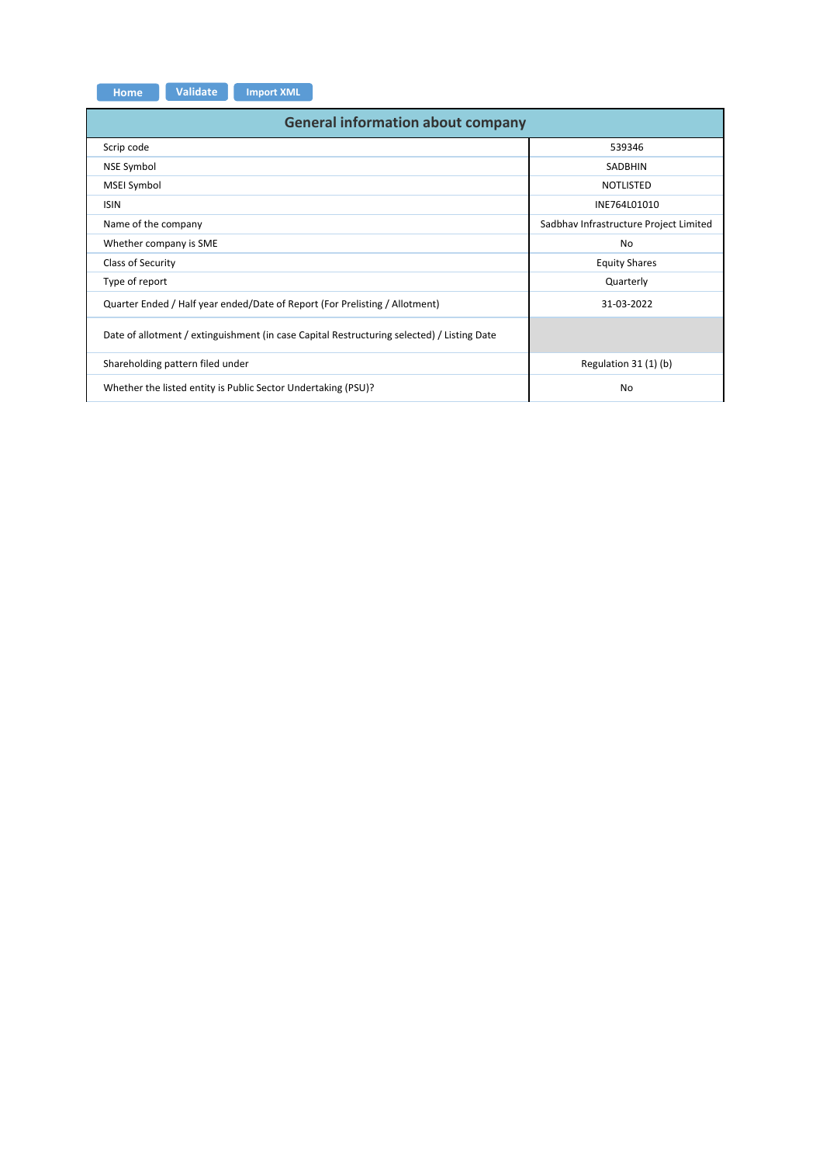| <b>Home</b> | <b>Validate</b> | <b>Import XML</b> |
|-------------|-----------------|-------------------|

| <b>General information about company</b>                                                   |                                        |  |  |  |  |  |  |  |  |  |
|--------------------------------------------------------------------------------------------|----------------------------------------|--|--|--|--|--|--|--|--|--|
| Scrip code                                                                                 | 539346                                 |  |  |  |  |  |  |  |  |  |
| NSE Symbol                                                                                 | <b>SADBHIN</b>                         |  |  |  |  |  |  |  |  |  |
| MSEI Symbol                                                                                | <b>NOTLISTED</b>                       |  |  |  |  |  |  |  |  |  |
| <b>ISIN</b>                                                                                | INE764L01010                           |  |  |  |  |  |  |  |  |  |
| Name of the company                                                                        | Sadbhav Infrastructure Project Limited |  |  |  |  |  |  |  |  |  |
| Whether company is SME                                                                     | No                                     |  |  |  |  |  |  |  |  |  |
| Class of Security                                                                          | <b>Equity Shares</b>                   |  |  |  |  |  |  |  |  |  |
| Type of report                                                                             | Quarterly                              |  |  |  |  |  |  |  |  |  |
| Quarter Ended / Half year ended/Date of Report (For Prelisting / Allotment)                | 31-03-2022                             |  |  |  |  |  |  |  |  |  |
| Date of allotment / extinguishment (in case Capital Restructuring selected) / Listing Date |                                        |  |  |  |  |  |  |  |  |  |
| Shareholding pattern filed under                                                           | Regulation 31 (1) (b)                  |  |  |  |  |  |  |  |  |  |
| Whether the listed entity is Public Sector Undertaking (PSU)?                              | <b>No</b>                              |  |  |  |  |  |  |  |  |  |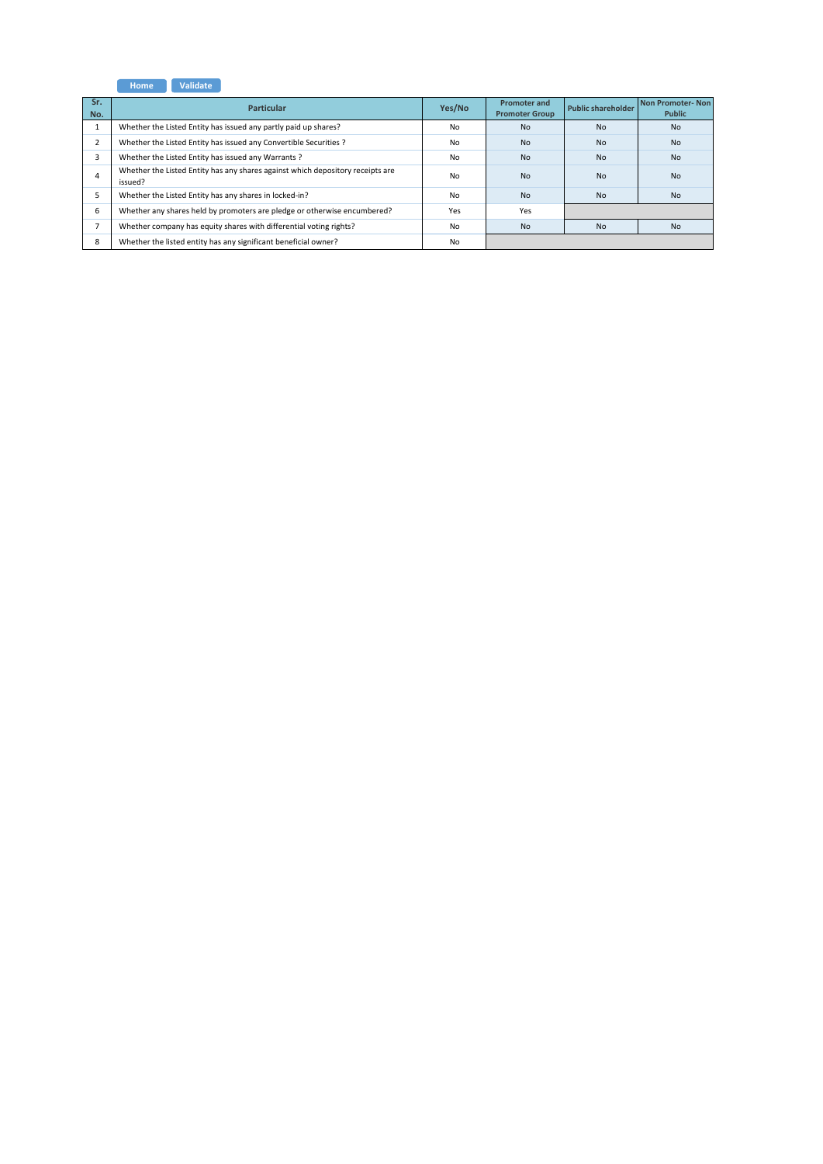**Home Validate**

| Sr.<br>No.     | <b>Particular</b>                                                                         | Yes/No | <b>Promoter and</b><br><b>Promoter Group</b> | <b>Public shareholder</b> | Non Promoter-Non<br><b>Public</b> |
|----------------|-------------------------------------------------------------------------------------------|--------|----------------------------------------------|---------------------------|-----------------------------------|
| ÷.             | Whether the Listed Entity has issued any partly paid up shares?                           | No     | <b>No</b>                                    | <b>No</b>                 | <b>No</b>                         |
| $\overline{2}$ | Whether the Listed Entity has issued any Convertible Securities ?                         | No     | <b>No</b>                                    | <b>No</b>                 | <b>No</b>                         |
| 3              | Whether the Listed Entity has issued any Warrants?                                        | No     | N <sub>0</sub>                               | N <sub>0</sub>            | N <sub>0</sub>                    |
| 4              | Whether the Listed Entity has any shares against which depository receipts are<br>issued? | No     | <b>No</b>                                    | <b>No</b>                 | <b>No</b>                         |
|                | Whether the Listed Entity has any shares in locked-in?                                    | No     | <b>No</b>                                    | <b>No</b>                 | <b>No</b>                         |
| 6              | Whether any shares held by promoters are pledge or otherwise encumbered?                  | Yes    | Yes                                          |                           |                                   |
| $\overline{ }$ | Whether company has equity shares with differential voting rights?                        | No     | <b>No</b>                                    | <b>No</b>                 | <b>No</b>                         |
| 8              | Whether the listed entity has any significant beneficial owner?                           | No     |                                              |                           |                                   |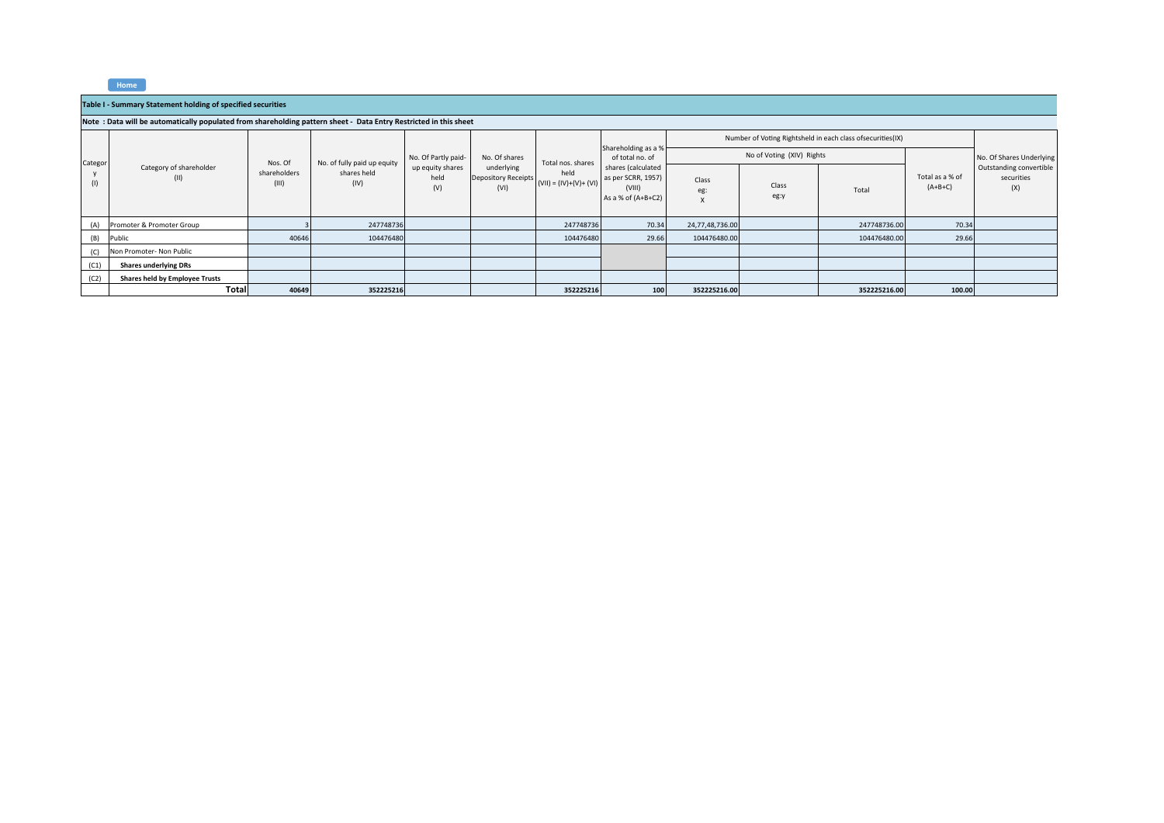**Home**

## **Table I ‐ Summary Statement holding of specified securities**

## Note : Data will be automatically populated from shareholding pattern sheet - Data Entry Restricted in this sheet

|         |                                 |                       |                             | No. Of Partly paid-             |                                                                   |                   |                                                                            |                 |                           | Number of Voting Rightsheld in each class ofsecurities(IX) |                              |                                              |
|---------|---------------------------------|-----------------------|-----------------------------|---------------------------------|-------------------------------------------------------------------|-------------------|----------------------------------------------------------------------------|-----------------|---------------------------|------------------------------------------------------------|------------------------------|----------------------------------------------|
| Categor |                                 | Nos. Of               | No. of fully paid up equity |                                 | No. Of shares                                                     | Total nos. shares | Shareholding as a %<br>of total no. of                                     |                 | No of Voting (XIV) Rights |                                                            |                              | No. Of Shares Underlying                     |
| (1)     | Category of shareholder<br>(II) | shareholders<br>(III) | shares held<br>(IV)         | up equity shares<br>held<br>(V) | underlying<br>Depository Receipts $(VII) = (IV)+(V)+(VI)$<br>(VI) | held              | shares (calculated<br>as per SCRR, 1957)<br>(VIII)<br>As a % of $(A+B+C2)$ | Class<br>eg:    | Class<br>eg:y             | Total                                                      | Total as a % of<br>$(A+B+C)$ | Outstanding convertible<br>securities<br>(X) |
| (A)     | Promoter & Promoter Group       |                       | 247748736                   |                                 |                                                                   | 247748736         | 70.34                                                                      | 24,77,48,736.00 |                           | 247748736.00                                               | 70.34                        |                                              |
| (B)     | Public                          | 40646                 | 104476480                   |                                 |                                                                   | 104476480         | 29.66                                                                      | 104476480.00    |                           | 104476480.00                                               | 29.66                        |                                              |
| (C)     | Non Promoter- Non Public        |                       |                             |                                 |                                                                   |                   |                                                                            |                 |                           |                                                            |                              |                                              |
| (C1)    | <b>Shares underlying DRs</b>    |                       |                             |                                 |                                                                   |                   |                                                                            |                 |                           |                                                            |                              |                                              |
| (C2)    | Shares held by Employee Trusts  |                       |                             |                                 |                                                                   |                   |                                                                            |                 |                           |                                                            |                              |                                              |
|         | <b>Total</b>                    | 40649                 | 352225216                   |                                 |                                                                   | 352225216         | 100                                                                        | 352225216.00    |                           | 352225216.00                                               | 100.00                       |                                              |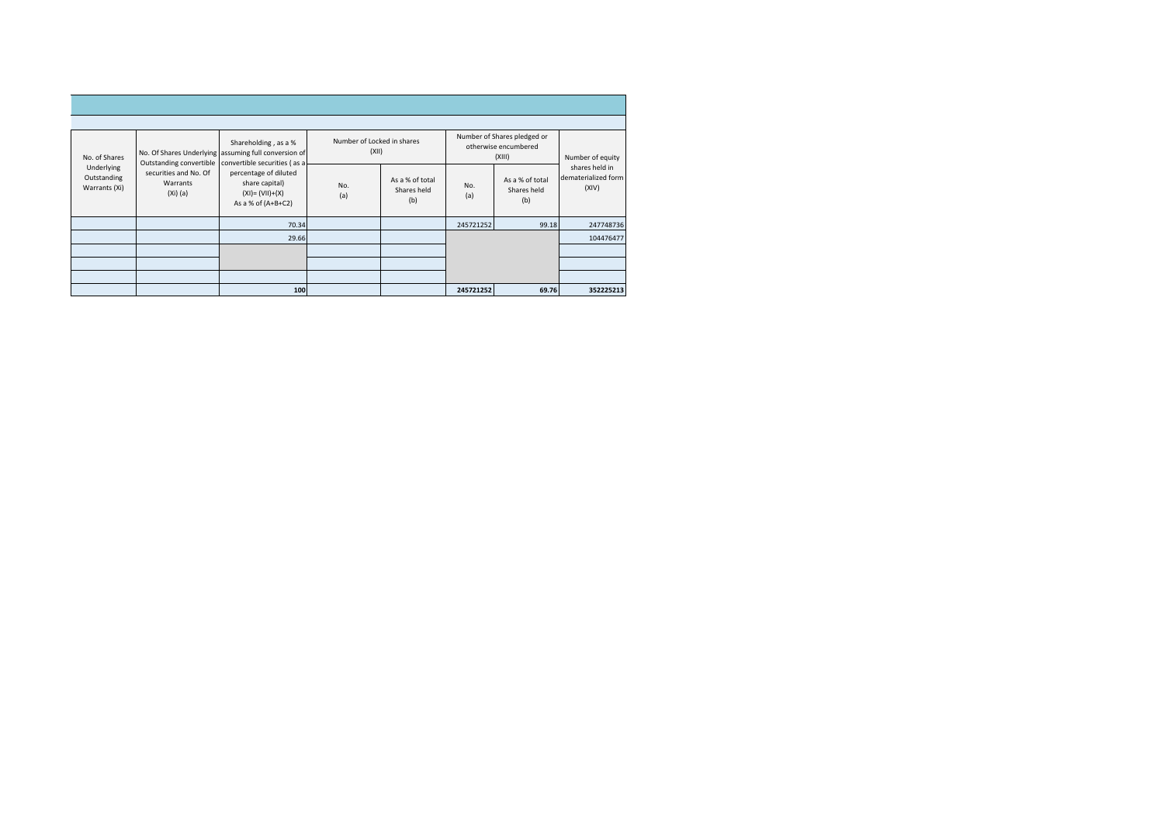| No. of Shares                              |                                                 | Shareholding, as a %<br>No. Of Shares Underlying assuming full conversion of<br>Outstanding convertible convertible securities (as a | Number of Locked in shares<br>(XII) |                                       |            | Number of Shares pledged or<br>otherwise encumbered<br>(XIII) | Number of equity                               |
|--------------------------------------------|-------------------------------------------------|--------------------------------------------------------------------------------------------------------------------------------------|-------------------------------------|---------------------------------------|------------|---------------------------------------------------------------|------------------------------------------------|
| Underlying<br>Outstanding<br>Warrants (Xi) | securities and No. Of<br>Warrants<br>$(Xi)$ (a) | percentage of diluted<br>share capital)<br>$(XI) = (VII)+(X)$<br>As a % of $(A+B+C2)$                                                | No.<br>(a)                          | As a % of total<br>Shares held<br>(b) | No.<br>(a) | As a % of total<br>Shares held<br>(b)                         | shares held in<br>dematerialized form<br>(XIV) |
|                                            |                                                 | 70.34                                                                                                                                |                                     |                                       | 245721252  | 99.18                                                         | 247748736                                      |
|                                            |                                                 | 29.66                                                                                                                                |                                     |                                       |            |                                                               | 104476477                                      |
|                                            |                                                 |                                                                                                                                      |                                     |                                       |            |                                                               |                                                |
|                                            |                                                 |                                                                                                                                      |                                     |                                       |            |                                                               |                                                |
|                                            |                                                 |                                                                                                                                      |                                     |                                       |            |                                                               |                                                |
|                                            |                                                 | 100                                                                                                                                  |                                     |                                       | 245721252  | 69.76                                                         | 352225213                                      |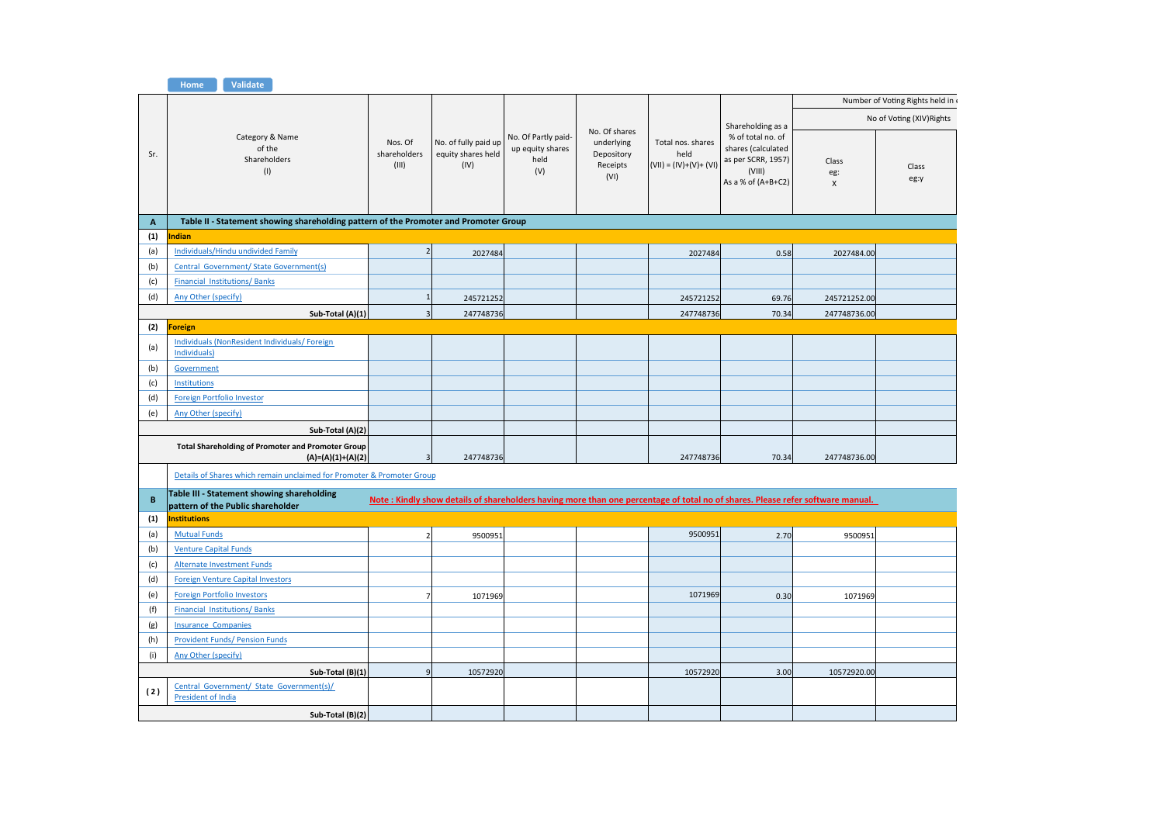|              | Home<br>Validate                                                                     |                                  |                                                    |                                                        |                                                               |                                                       |                                                                                                 |                                                                                                                                |                                 |
|--------------|--------------------------------------------------------------------------------------|----------------------------------|----------------------------------------------------|--------------------------------------------------------|---------------------------------------------------------------|-------------------------------------------------------|-------------------------------------------------------------------------------------------------|--------------------------------------------------------------------------------------------------------------------------------|---------------------------------|
|              |                                                                                      |                                  |                                                    |                                                        |                                                               |                                                       |                                                                                                 |                                                                                                                                | Number of Voting Rights held in |
|              |                                                                                      |                                  |                                                    |                                                        |                                                               |                                                       | Shareholding as a                                                                               |                                                                                                                                | No of Voting (XIV) Rights       |
| Sr.          | Category & Name<br>of the<br>Shareholders<br>(1)                                     | Nos. Of<br>shareholders<br>(III) | No. of fully paid up<br>equity shares held<br>(IV) | No. Of Partly paid-<br>up equity shares<br>held<br>(V) | No. Of shares<br>underlying<br>Depository<br>Receipts<br>(VI) | Total nos. shares<br>held<br>$(VII) = (IV)+(V)+(VII)$ | % of total no. of<br>shares (calculated<br>as per SCRR, 1957)<br>(VIII)<br>As a % of $(A+B+C2)$ | Class<br>eg:<br>$\pmb{\times}$                                                                                                 | Class<br>eg:y                   |
| $\mathbf{A}$ | Table II - Statement showing shareholding pattern of the Promoter and Promoter Group |                                  |                                                    |                                                        |                                                               |                                                       |                                                                                                 |                                                                                                                                |                                 |
| (1)          | ndian                                                                                |                                  |                                                    |                                                        |                                                               |                                                       |                                                                                                 |                                                                                                                                |                                 |
| (a)          | Individuals/Hindu undivided Family                                                   | $\overline{2}$                   | 2027484                                            |                                                        |                                                               | 2027484                                               | 0.58                                                                                            | 2027484.00                                                                                                                     |                                 |
| (b)          | Central Government/ State Government(s)                                              |                                  |                                                    |                                                        |                                                               |                                                       |                                                                                                 |                                                                                                                                |                                 |
| (c)          | <b>Financial Institutions/Banks</b>                                                  |                                  |                                                    |                                                        |                                                               |                                                       |                                                                                                 |                                                                                                                                |                                 |
| (d)          | Any Other (specify)                                                                  | $\mathbf{1}$                     | 245721252                                          |                                                        |                                                               | 245721252                                             | 69.76                                                                                           | 245721252.00                                                                                                                   |                                 |
|              | Sub-Total (A)(1)                                                                     | $\overline{\mathbf{3}}$          | 247748736                                          |                                                        |                                                               | 247748736                                             | 70.34                                                                                           | 247748736.00                                                                                                                   |                                 |
| (2)          | <b>Foreign</b>                                                                       |                                  |                                                    |                                                        |                                                               |                                                       |                                                                                                 |                                                                                                                                |                                 |
| (a)          | <b>Individuals (NonResident Individuals/ Foreign)</b><br>Individuals)                |                                  |                                                    |                                                        |                                                               |                                                       |                                                                                                 |                                                                                                                                |                                 |
| (b)          | Government                                                                           |                                  |                                                    |                                                        |                                                               |                                                       |                                                                                                 |                                                                                                                                |                                 |
| (c)          | Institutions                                                                         |                                  |                                                    |                                                        |                                                               |                                                       |                                                                                                 |                                                                                                                                |                                 |
| (d)          | <b>Foreign Portfolio Investor</b>                                                    |                                  |                                                    |                                                        |                                                               |                                                       |                                                                                                 |                                                                                                                                |                                 |
| (e)          | Any Other (specify)                                                                  |                                  |                                                    |                                                        |                                                               |                                                       |                                                                                                 |                                                                                                                                |                                 |
|              | Sub-Total (A)(2)                                                                     |                                  |                                                    |                                                        |                                                               |                                                       |                                                                                                 |                                                                                                                                |                                 |
|              | <b>Total Shareholding of Promoter and Promoter Group</b><br>$(A)=(A)(1)+(A)(2)$      | $\overline{\mathbf{3}}$          | 247748736                                          |                                                        |                                                               | 247748736                                             | 70.34                                                                                           | 247748736.00                                                                                                                   |                                 |
|              | Details of Shares which remain unclaimed for Promoter & Promoter Group               |                                  |                                                    |                                                        |                                                               |                                                       |                                                                                                 |                                                                                                                                |                                 |
| B            | Table III - Statement showing shareholding<br>pattern of the Public shareholder      |                                  |                                                    |                                                        |                                                               |                                                       |                                                                                                 | Note: Kindly show details of shareholders having more than one percentage of total no of shares. Please refer software manual. |                                 |
| (1)          | <b>Institutions</b>                                                                  |                                  |                                                    |                                                        |                                                               |                                                       |                                                                                                 |                                                                                                                                |                                 |
| (a)          | <b>Mutual Funds</b>                                                                  | $\overline{2}$                   | 9500951                                            |                                                        |                                                               | 9500951                                               | 2.70                                                                                            | 9500951                                                                                                                        |                                 |
| (b)          | <b>Venture Capital Funds</b>                                                         |                                  |                                                    |                                                        |                                                               |                                                       |                                                                                                 |                                                                                                                                |                                 |
| (c)          | <b>Alternate Investment Funds</b>                                                    |                                  |                                                    |                                                        |                                                               |                                                       |                                                                                                 |                                                                                                                                |                                 |
| (d)          | <b>Foreign Venture Capital Investors</b>                                             |                                  |                                                    |                                                        |                                                               |                                                       |                                                                                                 |                                                                                                                                |                                 |
| (e)          | <b>Foreign Portfolio Investors</b>                                                   | $\overline{7}$                   | 1071969                                            |                                                        |                                                               | 1071969                                               | 0.30                                                                                            | 1071969                                                                                                                        |                                 |
| (f)          | <b>Financial Institutions/Banks</b>                                                  |                                  |                                                    |                                                        |                                                               |                                                       |                                                                                                 |                                                                                                                                |                                 |
| (g)          | <b>Insurance Companies</b>                                                           |                                  |                                                    |                                                        |                                                               |                                                       |                                                                                                 |                                                                                                                                |                                 |
| (h)          | <b>Provident Funds/ Pension Funds</b>                                                |                                  |                                                    |                                                        |                                                               |                                                       |                                                                                                 |                                                                                                                                |                                 |
| (i)          | Any Other (specify)                                                                  |                                  |                                                    |                                                        |                                                               |                                                       |                                                                                                 |                                                                                                                                |                                 |
|              | Sub-Total (B)(1)                                                                     | 9                                | 10572920                                           |                                                        |                                                               | 10572920                                              | 3.00                                                                                            | 10572920.00                                                                                                                    |                                 |
| (2)          | Central Government/ State Government(s)/<br>President of India                       |                                  |                                                    |                                                        |                                                               |                                                       |                                                                                                 |                                                                                                                                |                                 |
|              | Sub-Total (B)(2)                                                                     |                                  |                                                    |                                                        |                                                               |                                                       |                                                                                                 |                                                                                                                                |                                 |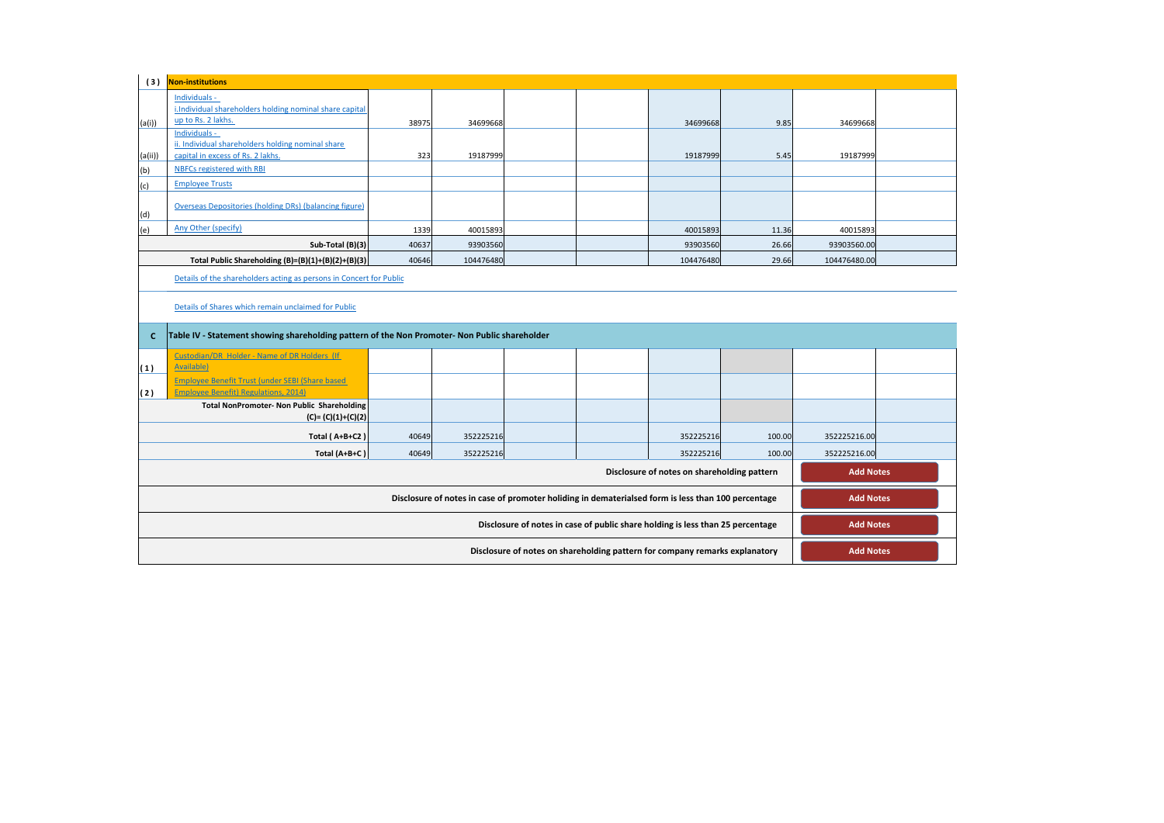| (3)                                                                                                                    | <b>Non-institutions</b>                                                                         |       |           |  |  |                                                                                |        |                  |  |  |  |
|------------------------------------------------------------------------------------------------------------------------|-------------------------------------------------------------------------------------------------|-------|-----------|--|--|--------------------------------------------------------------------------------|--------|------------------|--|--|--|
|                                                                                                                        | Individuals -<br>i.Individual shareholders holding nominal share capital<br>up to Rs. 2 lakhs.  |       |           |  |  |                                                                                |        |                  |  |  |  |
| (a(i))                                                                                                                 | Individuals -                                                                                   | 38975 | 34699668  |  |  | 34699668                                                                       | 9.85   | 34699668         |  |  |  |
|                                                                                                                        | ii. Individual shareholders holding nominal share                                               |       |           |  |  |                                                                                |        |                  |  |  |  |
| (a(ii))                                                                                                                | capital in excess of Rs. 2 lakhs.                                                               | 323   | 19187999  |  |  | 19187999                                                                       | 5.45   | 19187999         |  |  |  |
| (b)                                                                                                                    | NBFCs registered with RBI                                                                       |       |           |  |  |                                                                                |        |                  |  |  |  |
| (c)                                                                                                                    | <b>Employee Trusts</b>                                                                          |       |           |  |  |                                                                                |        |                  |  |  |  |
| (d)                                                                                                                    | Overseas Depositories (holding DRs) (balancing figure)                                          |       |           |  |  |                                                                                |        |                  |  |  |  |
| (e)                                                                                                                    | Any Other (specify)                                                                             | 1339  | 40015893  |  |  | 40015893                                                                       | 11.36  | 40015893         |  |  |  |
|                                                                                                                        | Sub-Total (B)(3)                                                                                | 40637 | 93903560  |  |  | 93903560                                                                       | 26.66  | 93903560.00      |  |  |  |
|                                                                                                                        | Total Public Shareholding (B)=(B)(1)+(B)(2)+(B)(3)                                              | 40646 | 104476480 |  |  | 104476480                                                                      | 29.66  | 104476480.00     |  |  |  |
|                                                                                                                        | Details of the shareholders acting as persons in Concert for Public                             |       |           |  |  |                                                                                |        |                  |  |  |  |
|                                                                                                                        | Details of Shares which remain unclaimed for Public                                             |       |           |  |  |                                                                                |        |                  |  |  |  |
| c                                                                                                                      | Table IV - Statement showing shareholding pattern of the Non Promoter- Non Public shareholder   |       |           |  |  |                                                                                |        |                  |  |  |  |
|                                                                                                                        | Custodian/DR Holder - Name of DR Holders (If<br>Available)                                      |       |           |  |  |                                                                                |        |                  |  |  |  |
| (1)                                                                                                                    | <b>Employee Benefit Trust (under SEBI (Share based)</b>                                         |       |           |  |  |                                                                                |        |                  |  |  |  |
| (2)                                                                                                                    | <b>Employee Benefit) Regulations, 2014)</b>                                                     |       |           |  |  |                                                                                |        |                  |  |  |  |
|                                                                                                                        | <b>Total NonPromoter- Non Public Shareholding</b><br>$(C) = (C)(1)+(C)(2)$                      |       |           |  |  |                                                                                |        |                  |  |  |  |
|                                                                                                                        | Total (A+B+C2)                                                                                  | 40649 | 352225216 |  |  | 352225216                                                                      | 100.00 | 352225216.00     |  |  |  |
|                                                                                                                        | Total (A+B+C)                                                                                   | 40649 | 352225216 |  |  | 352225216                                                                      | 100.00 | 352225216.00     |  |  |  |
|                                                                                                                        |                                                                                                 |       |           |  |  |                                                                                |        |                  |  |  |  |
| Disclosure of notes on shareholding pattern<br><b>Add Notes</b>                                                        |                                                                                                 |       |           |  |  |                                                                                |        |                  |  |  |  |
| Disclosure of notes in case of promoter holiding in dematerialsed form is less than 100 percentage<br><b>Add Notes</b> |                                                                                                 |       |           |  |  |                                                                                |        |                  |  |  |  |
|                                                                                                                        |                                                                                                 |       |           |  |  | Disclosure of notes in case of public share holding is less than 25 percentage |        | <b>Add Notes</b> |  |  |  |
|                                                                                                                        | Disclosure of notes on shareholding pattern for company remarks explanatory<br><b>Add Notes</b> |       |           |  |  |                                                                                |        |                  |  |  |  |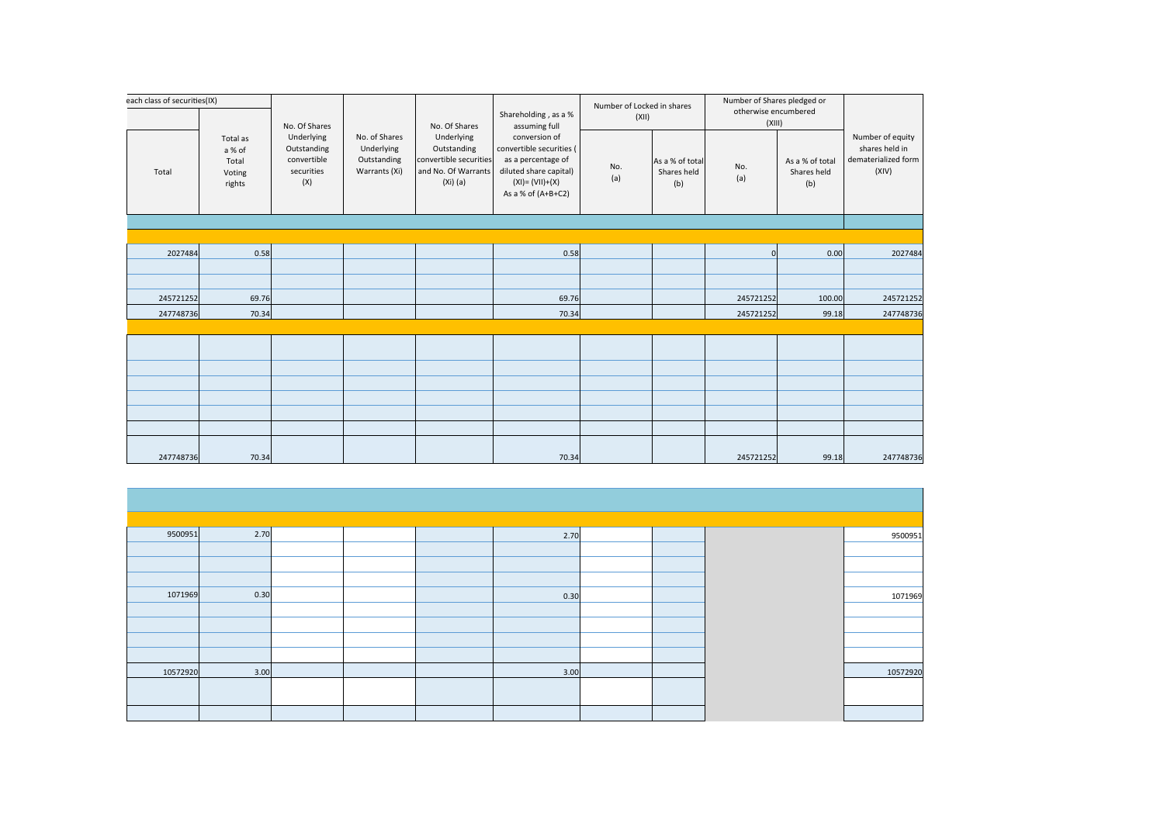| each class of securities(IX) |                                                 |                                                               |                                                             |                                                                                          |                                                                                                                                                       | Number of Locked in shares |                                       | Number of Shares pledged or    |                                       |                                                                    |
|------------------------------|-------------------------------------------------|---------------------------------------------------------------|-------------------------------------------------------------|------------------------------------------------------------------------------------------|-------------------------------------------------------------------------------------------------------------------------------------------------------|----------------------------|---------------------------------------|--------------------------------|---------------------------------------|--------------------------------------------------------------------|
|                              |                                                 | No. Of Shares                                                 |                                                             | No. Of Shares                                                                            | Shareholding, as a %<br>assuming full                                                                                                                 | (XII)                      |                                       | otherwise encumbered<br>(XIII) |                                       |                                                                    |
| Total                        | Total as<br>a % of<br>Total<br>Voting<br>rights | Underlying<br>Outstanding<br>convertible<br>securities<br>(X) | No. of Shares<br>Underlying<br>Outstanding<br>Warrants (Xi) | Underlying<br>Outstanding<br>convertible securities<br>and No. Of Warrants<br>$(Xi)$ (a) | conversion of<br>convertible securities (<br>as a percentage of<br>No.<br>diluted share capital)<br>(a)<br>$(XI) = (VII)+(X)$<br>As a % of $(A+B+C2)$ |                            | As a % of total<br>Shares held<br>(b) | No.<br>(a)                     | As a % of total<br>Shares held<br>(b) | Number of equity<br>shares held in<br>dematerialized form<br>(XIV) |
|                              |                                                 |                                                               |                                                             |                                                                                          |                                                                                                                                                       |                            |                                       |                                |                                       |                                                                    |
|                              |                                                 |                                                               |                                                             |                                                                                          |                                                                                                                                                       |                            |                                       |                                |                                       |                                                                    |
| 2027484                      | 0.58                                            |                                                               |                                                             |                                                                                          | 0.58                                                                                                                                                  |                            |                                       | $\overline{0}$                 | 0.00                                  | 2027484                                                            |
|                              |                                                 |                                                               |                                                             |                                                                                          |                                                                                                                                                       |                            |                                       |                                |                                       |                                                                    |
| 245721252                    | 69.76                                           |                                                               |                                                             |                                                                                          | 69.76                                                                                                                                                 |                            |                                       | 245721252                      | 100.00                                | 245721252                                                          |
| 247748736                    | 70.34                                           |                                                               |                                                             |                                                                                          | 70.34                                                                                                                                                 |                            |                                       | 245721252                      | 99.18                                 | 247748736                                                          |
|                              |                                                 |                                                               |                                                             |                                                                                          |                                                                                                                                                       |                            |                                       |                                |                                       |                                                                    |
|                              |                                                 |                                                               |                                                             |                                                                                          |                                                                                                                                                       |                            |                                       |                                |                                       |                                                                    |
|                              |                                                 |                                                               |                                                             |                                                                                          |                                                                                                                                                       |                            |                                       |                                |                                       |                                                                    |
|                              |                                                 |                                                               |                                                             |                                                                                          |                                                                                                                                                       |                            |                                       |                                |                                       |                                                                    |
|                              |                                                 |                                                               |                                                             |                                                                                          |                                                                                                                                                       |                            |                                       |                                |                                       |                                                                    |
|                              |                                                 |                                                               |                                                             |                                                                                          |                                                                                                                                                       |                            |                                       |                                |                                       |                                                                    |
|                              |                                                 |                                                               |                                                             |                                                                                          |                                                                                                                                                       |                            |                                       |                                |                                       |                                                                    |
| 247748736                    | 70.34                                           |                                                               |                                                             |                                                                                          | 70.34                                                                                                                                                 |                            |                                       | 245721252                      | 99.18                                 | 247748736                                                          |

| 9500951  | 2.70 |  | 2.70 |  | 9500951  |
|----------|------|--|------|--|----------|
|          |      |  |      |  |          |
|          |      |  |      |  |          |
|          |      |  |      |  |          |
| 1071969  | 0.30 |  | 0.30 |  | 1071969  |
|          |      |  |      |  |          |
|          |      |  |      |  |          |
|          |      |  |      |  |          |
|          |      |  |      |  |          |
| 10572920 | 3.00 |  | 3.00 |  | 10572920 |
|          |      |  |      |  |          |
|          |      |  |      |  |          |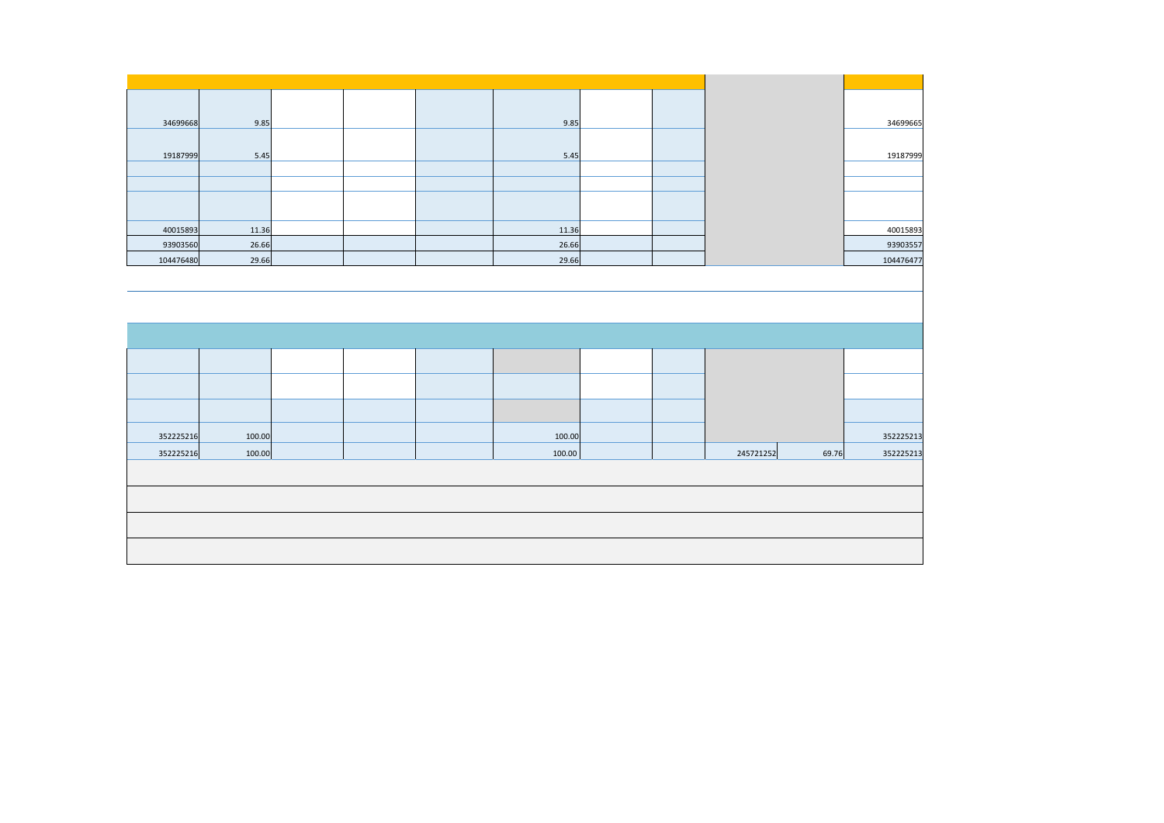| 34699668  | 9.85   |  | 9.85   |  |           |       | 34699665  |
|-----------|--------|--|--------|--|-----------|-------|-----------|
|           |        |  |        |  |           |       |           |
| 19187999  | 5.45   |  | 5.45   |  |           |       | 19187999  |
|           |        |  |        |  |           |       |           |
|           |        |  |        |  |           |       |           |
|           |        |  |        |  |           |       |           |
|           |        |  |        |  |           |       |           |
| 40015893  | 11.36  |  | 11.36  |  |           |       | 40015893  |
| 93903560  | 26.66  |  | 26.66  |  |           |       | 93903557  |
| 104476480 | 29.66  |  | 29.66  |  |           |       | 104476477 |
|           |        |  |        |  |           |       |           |
|           |        |  |        |  |           |       |           |
|           |        |  |        |  |           |       |           |
|           |        |  |        |  |           |       |           |
|           |        |  |        |  |           |       |           |
|           |        |  |        |  |           |       |           |
|           |        |  |        |  |           |       |           |
|           |        |  |        |  |           |       |           |
|           |        |  |        |  |           |       |           |
|           |        |  |        |  |           |       |           |
|           |        |  |        |  |           |       |           |
| 352225216 | 100.00 |  | 100.00 |  |           |       | 352225213 |
| 352225216 | 100.00 |  | 100.00 |  | 245721252 | 69.76 | 352225213 |
|           |        |  |        |  |           |       |           |
|           |        |  |        |  |           |       |           |
|           |        |  |        |  |           |       |           |
|           |        |  |        |  |           |       |           |
|           |        |  |        |  |           |       |           |
|           |        |  |        |  |           |       |           |
|           |        |  |        |  |           |       |           |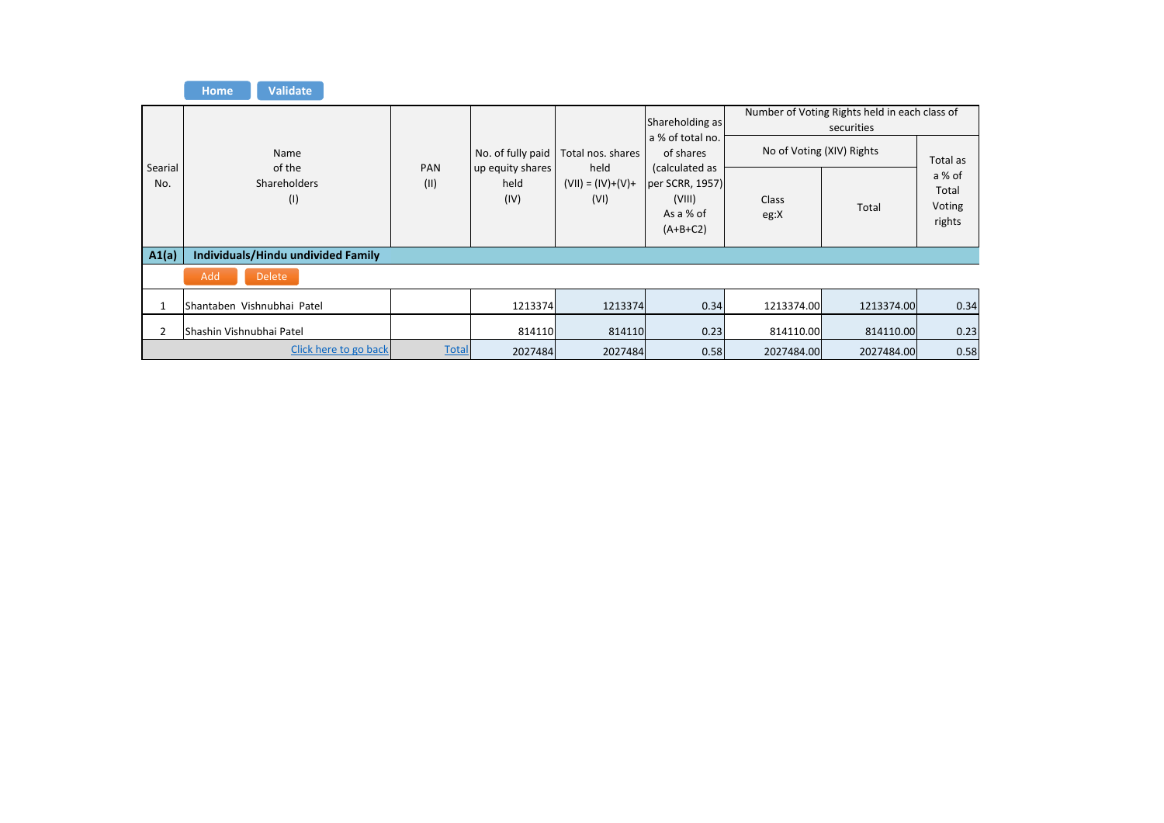|                | <b>Validate</b><br><b>Home</b>     |              |                                  |                             |                                                                        |                           |                                               |                                     |
|----------------|------------------------------------|--------------|----------------------------------|-----------------------------|------------------------------------------------------------------------|---------------------------|-----------------------------------------------|-------------------------------------|
|                |                                    |              |                                  |                             | Shareholding as                                                        |                           | Number of Voting Rights held in each class of |                                     |
|                | Name<br>of the                     | PAN          | No. of fully paid                | Total nos. shares<br>held   | a % of total no.<br>of shares                                          | No of Voting (XIV) Rights | securities                                    | Total as                            |
| Searial<br>No. | Shareholders<br>(1)                | (11)         | up equity shares<br>held<br>(IV) | $(VII) = (IV)+(V)+$<br>(VI) | (calculated as<br>per SCRR, 1957)<br>(VIII)<br>As a % of<br>$(A+B+C2)$ | Class<br>eg:X             | Total                                         | a % of<br>Total<br>Voting<br>rights |
| A1(a)          | Individuals/Hindu undivided Family |              |                                  |                             |                                                                        |                           |                                               |                                     |
|                | Add<br><b>Delete</b>               |              |                                  |                             |                                                                        |                           |                                               |                                     |
|                | Shantaben Vishnubhai Patel         |              | 1213374                          | 1213374                     | 0.34                                                                   | 1213374.00                | 1213374.00                                    | 0.34                                |
| 2              | lShashin Vishnubhai Patel          |              | 814110                           | 814110                      | 0.23                                                                   | 814110.00                 | 814110.00                                     | 0.23                                |
|                | Click here to go back              | <b>Total</b> | 2027484                          | 2027484                     | 0.58                                                                   | 2027484.00                | 2027484.00                                    | 0.58                                |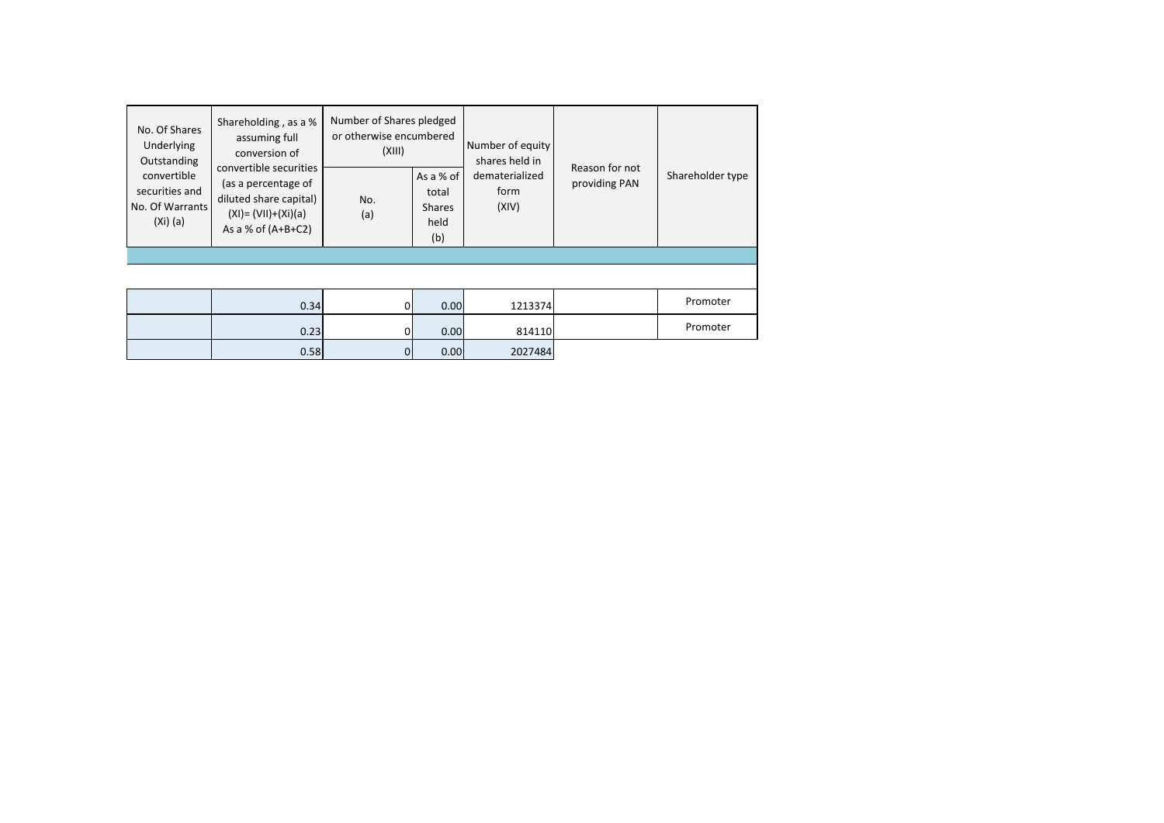| No. Of Shares<br>Underlying<br>Outstanding<br>convertible<br>securities and<br>No. Of Warrants<br>(Xi) (a) | Shareholding, as a %<br>assuming full<br>conversion of<br>convertible securities<br>(as a percentage of<br>diluted share capital)<br>$(XI) = (VII)+(Xi)(a)$<br>As a % of $(A+B+C2)$ | Number of Shares pledged<br>or otherwise encumbered<br>(XIII)<br>As a % of<br>total<br>No.<br><b>Shares</b><br>(a)<br>held<br>(b) |      | Number of equity<br>shares held in<br>dematerialized<br>form<br>(XIV) | Reason for not<br>providing PAN | Shareholder type |
|------------------------------------------------------------------------------------------------------------|-------------------------------------------------------------------------------------------------------------------------------------------------------------------------------------|-----------------------------------------------------------------------------------------------------------------------------------|------|-----------------------------------------------------------------------|---------------------------------|------------------|
|                                                                                                            |                                                                                                                                                                                     |                                                                                                                                   |      |                                                                       |                                 |                  |
|                                                                                                            |                                                                                                                                                                                     |                                                                                                                                   |      |                                                                       |                                 |                  |
|                                                                                                            | 0.34                                                                                                                                                                                | $\Omega$                                                                                                                          | 0.00 | 1213374                                                               |                                 | Promoter         |
|                                                                                                            | 0.23                                                                                                                                                                                | $\overline{0}$                                                                                                                    | 0.00 | 814110                                                                |                                 | Promoter         |
|                                                                                                            | 0.58                                                                                                                                                                                | $\overline{0}$                                                                                                                    | 0.00 | 2027484                                                               |                                 |                  |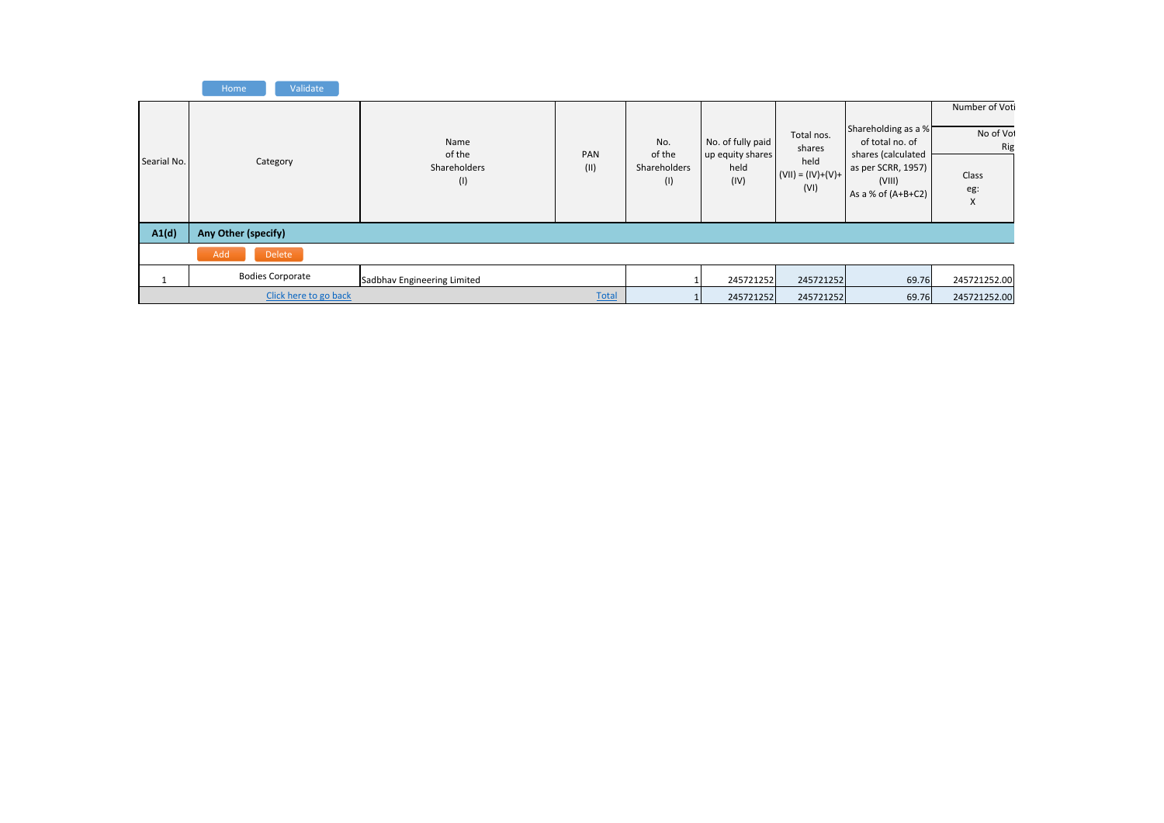|             | Validate<br>Home        |                                       |             |                                             |                                                       |                                                             |                                                                                                                      |                                                         |
|-------------|-------------------------|---------------------------------------|-------------|---------------------------------------------|-------------------------------------------------------|-------------------------------------------------------------|----------------------------------------------------------------------------------------------------------------------|---------------------------------------------------------|
| Searial No. | Category                | Name<br>of the<br>Shareholders<br>(1) | PAN<br>(II) | No.<br>of the<br><b>Shareholders</b><br>(1) | No. of fully paid<br>up equity shares<br>held<br>(IV) | Total nos.<br>shares<br>held<br>$(VII) = (IV)+(V)+$<br>(VI) | Shareholding as a %<br>of total no. of<br>shares (calculated<br>as per SCRR, 1957)<br>(VIII)<br>As a % of $(A+B+C2)$ | Number of Voti<br>No of Vol<br>Rig<br>Class<br>eg:<br>X |
| A1(d)       | Any Other (specify)     |                                       |             |                                             |                                                       |                                                             |                                                                                                                      |                                                         |
|             | Add<br>Delete           |                                       |             |                                             |                                                       |                                                             |                                                                                                                      |                                                         |
|             | <b>Bodies Corporate</b> | Sadbhav Engineering Limited           |             |                                             | 245721252                                             | 245721252                                                   | 69.76                                                                                                                | 245721252.00                                            |
|             | Click here to go back   |                                       |             | 245721252                                   | 245721252                                             | 69.76                                                       | 245721252.00                                                                                                         |                                                         |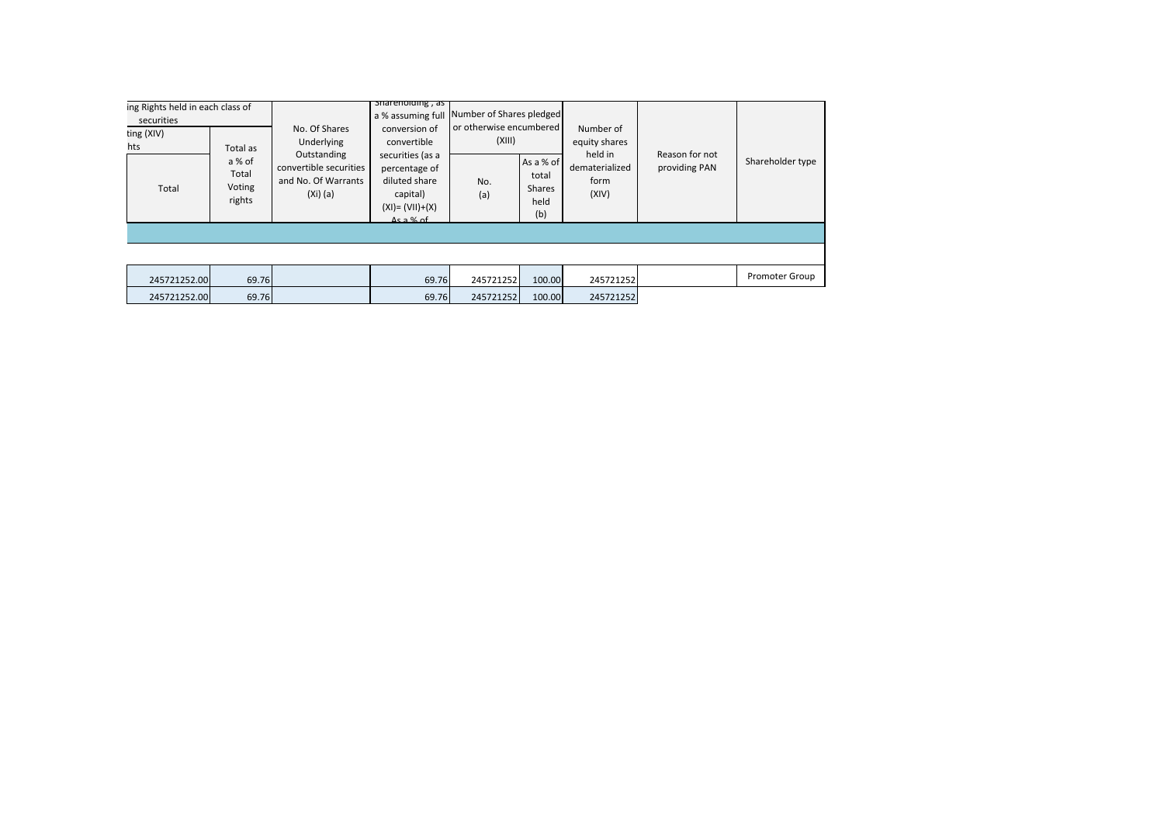| ing Rights held in each class of<br>securities |                            |                                                 |                                                                                                           | shareholding, as<br>a % assuming full                                                                                             | Number of Shares pledged                        |                                             |                                                                          |                                 |                       |
|------------------------------------------------|----------------------------|-------------------------------------------------|-----------------------------------------------------------------------------------------------------------|-----------------------------------------------------------------------------------------------------------------------------------|-------------------------------------------------|---------------------------------------------|--------------------------------------------------------------------------|---------------------------------|-----------------------|
|                                                | ting (XIV)<br>hts<br>Total | Total as<br>a % of<br>Total<br>Voting<br>rights | No. Of Shares<br>Underlying<br>Outstanding<br>convertible securities<br>and No. Of Warrants<br>$(Xi)$ (a) | conversion of<br>convertible<br>securities (as a<br>percentage of<br>diluted share<br>capital)<br>$(XI) = (VII)+(X)$<br>As a % of | or otherwise encumbered<br>(XIII)<br>No.<br>(a) | As a % of<br>total<br>Shares<br>held<br>(b) | Number of<br>equity shares<br>held in<br>dematerialized<br>form<br>(XIV) | Reason for not<br>providing PAN | Shareholder type      |
|                                                |                            |                                                 |                                                                                                           |                                                                                                                                   |                                                 |                                             |                                                                          |                                 |                       |
|                                                | 245721252.00               | 69.76                                           |                                                                                                           | 69.76                                                                                                                             | 245721252                                       | 100.00                                      | 245721252                                                                |                                 | <b>Promoter Group</b> |
|                                                | 245721252.00               | 69.76                                           |                                                                                                           | 69.76                                                                                                                             | 245721252                                       | 100.00                                      | 245721252                                                                |                                 |                       |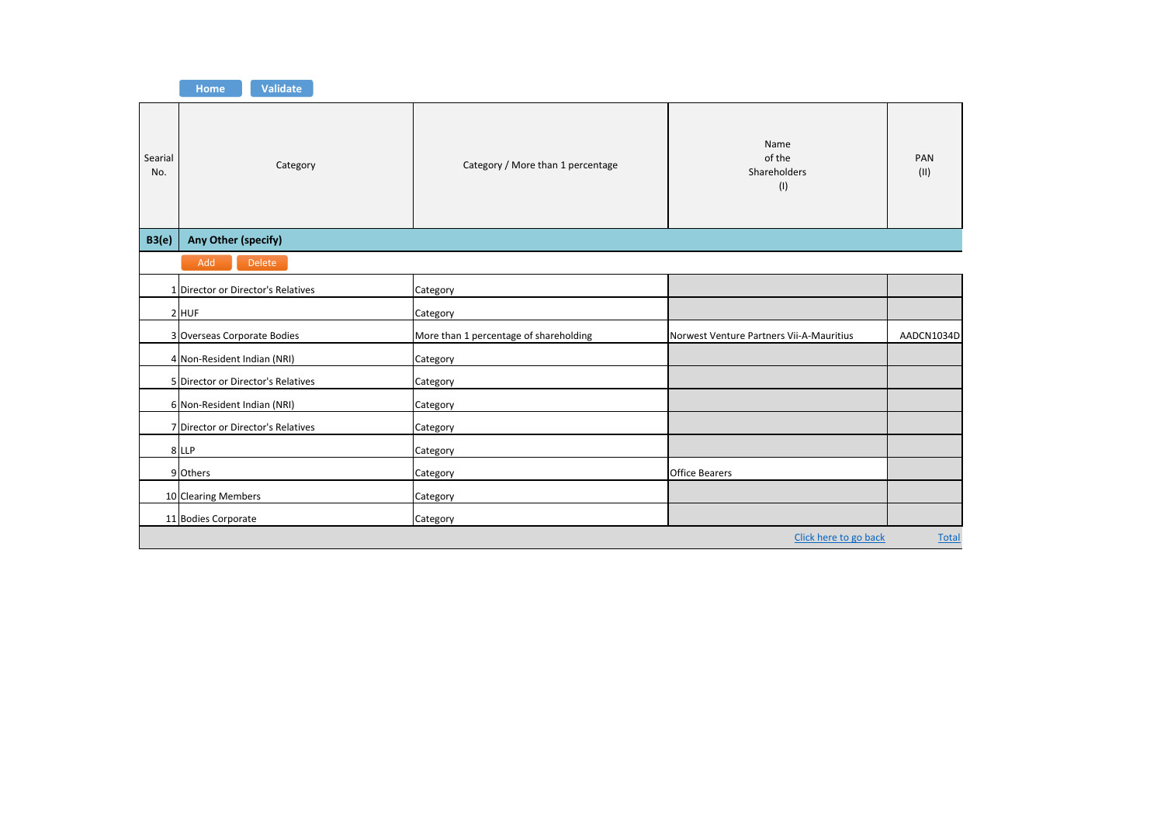

| Searial<br>No.              | Category                           | Category / More than 1 percentage      | Name<br>of the<br>Shareholders<br>(1)    | PAN<br>(11)  |
|-----------------------------|------------------------------------|----------------------------------------|------------------------------------------|--------------|
| B3(e)                       | Any Other (specify)                |                                        |                                          |              |
|                             | Delete<br>Add                      |                                        |                                          |              |
|                             | 1 Director or Director's Relatives | Category                               |                                          |              |
|                             | 2 HUF                              | Category                               |                                          |              |
|                             | 3 Overseas Corporate Bodies        | More than 1 percentage of shareholding | Norwest Venture Partners Vii-A-Mauritius | AADCN1034D   |
|                             | 4 Non-Resident Indian (NRI)        | Category                               |                                          |              |
|                             | 5 Director or Director's Relatives | Category                               |                                          |              |
| 6 Non-Resident Indian (NRI) |                                    | Category                               |                                          |              |
|                             | 7 Director or Director's Relatives | Category                               |                                          |              |
|                             | 8 LLP                              | Category                               |                                          |              |
|                             | 9 Others                           | Category                               | <b>Office Bearers</b>                    |              |
|                             | 10 Clearing Members                | Category                               |                                          |              |
|                             | 11 Bodies Corporate                | Category                               |                                          |              |
|                             |                                    |                                        | Click here to go back                    | <b>Total</b> |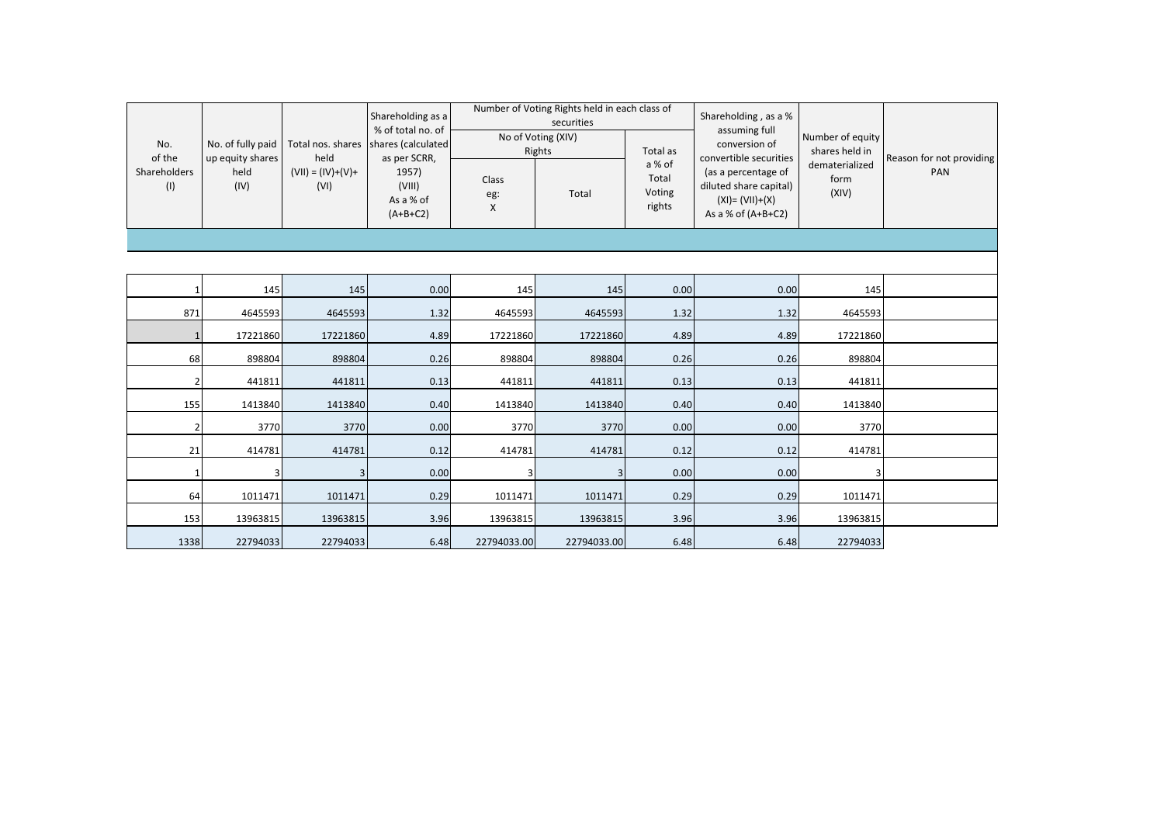|                     |                                                       |                             | Shareholding as a<br>% of total no. of     |                   | Number of Voting Rights held in each class of<br>securities |                                     | Shareholding, as a %<br>assuming full                                                       |                                    | Reason for not providing<br>PAN |
|---------------------|-------------------------------------------------------|-----------------------------|--------------------------------------------|-------------------|-------------------------------------------------------------|-------------------------------------|---------------------------------------------------------------------------------------------|------------------------------------|---------------------------------|
| No.<br>of the       | No. of fully paid<br>up equity shares<br>held<br>(IV) | Total nos. shares<br>held   | shares (calculated<br>as per SCRR,         |                   | No of Voting (XIV)<br>Rights                                | Total as                            | conversion of<br>convertible securities                                                     | Number of equity<br>shares held in |                                 |
| Shareholders<br>(1) |                                                       | $(VII) = (IV)+(V)+$<br>(VI) | 1957)<br>(VIII)<br>As a % of<br>$(A+B+C2)$ | Class<br>eg:<br>X | Total                                                       | a % of<br>Total<br>Voting<br>rights | (as a percentage of<br>diluted share capital)<br>$(XI) = (VII)+(X)$<br>As a % of $(A+B+C2)$ | dematerialized<br>form<br>(XIV)    |                                 |
|                     |                                                       |                             |                                            |                   |                                                             |                                     |                                                                                             |                                    |                                 |
|                     |                                                       |                             |                                            |                   |                                                             |                                     |                                                                                             |                                    |                                 |
| -1                  | 145                                                   | 145                         | 0.00                                       | 145               | 145                                                         | 0.00                                | 0.00                                                                                        | 145                                |                                 |
| 871                 | 4645593                                               | 4645593                     | 1.32                                       | 4645593           | 4645593                                                     | 1.32                                | 1.32                                                                                        | 4645593                            |                                 |
| $\mathbf{1}$        | 17221860                                              | 17221860                    | 4.89                                       | 17221860          | 17221860                                                    | 4.89                                | 4.89                                                                                        | 17221860                           |                                 |
| 68                  | 898804                                                | 898804                      | 0.26                                       | 898804            | 898804                                                      | 0.26                                | 0.26                                                                                        | 898804                             |                                 |
| $\overline{2}$      | 441811                                                | 441811                      | 0.13                                       | 441811            | 441811                                                      | 0.13                                | 0.13                                                                                        | 441811                             |                                 |
| 155                 | 1413840                                               | 1413840                     | 0.40                                       | 1413840           | 1413840                                                     | 0.40                                | 0.40                                                                                        | 1413840                            |                                 |
| $\overline{2}$      | 3770                                                  | 3770                        | 0.00                                       | 3770              | 3770                                                        | 0.00                                | 0.00                                                                                        | 3770                               |                                 |
| 21                  | 414781                                                | 414781                      | 0.12                                       | 414781            | 414781                                                      | 0.12                                | 0.12                                                                                        | 414781                             |                                 |
| $\mathbf{1}$        | 3                                                     | 3                           | 0.00                                       | 3                 | 3                                                           | 0.00                                | 0.00                                                                                        |                                    |                                 |
| 64                  | 1011471                                               | 1011471                     | 0.29                                       | 1011471           | 1011471                                                     | 0.29                                | 0.29                                                                                        | 1011471                            |                                 |
| 153                 | 13963815                                              | 13963815                    | 3.96                                       | 13963815          | 13963815                                                    | 3.96                                | 3.96                                                                                        | 13963815                           |                                 |
| 1338                | 22794033                                              | 22794033                    | 6.48                                       | 22794033.00       | 22794033.00                                                 | 6.48                                | 6.48                                                                                        | 22794033                           |                                 |